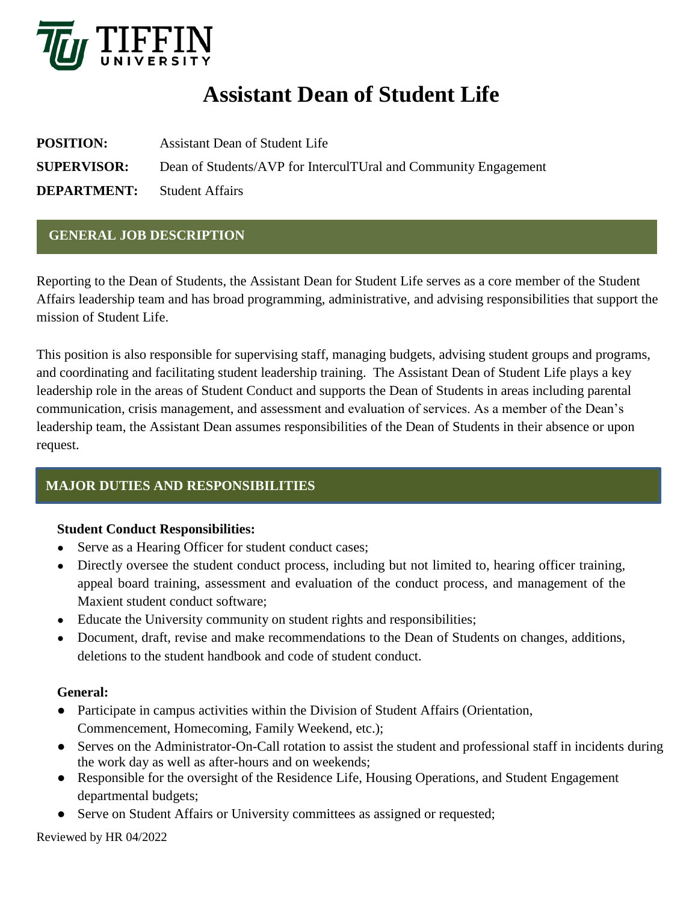

# **Assistant Dean of Student Life**

| <b>POSITION:</b>                   | Assistant Dean of Student Life                                  |
|------------------------------------|-----------------------------------------------------------------|
| <b>SUPERVISOR:</b>                 | Dean of Students/AVP for InterculTUral and Community Engagement |
| <b>DEPARTMENT:</b> Student Affairs |                                                                 |

### **GENERAL JOB DESCRIPTION**

Reporting to the Dean of Students, the Assistant Dean for Student Life serves as a core member of the Student Affairs leadership team and has broad programming, administrative, and advising responsibilities that support the mission of Student Life.

This position is also responsible for supervising staff, managing budgets, advising student groups and programs, and coordinating and facilitating student leadership training. The Assistant Dean of Student Life plays a key leadership role in the areas of Student Conduct and supports the Dean of Students in areas including parental communication, crisis management, and assessment and evaluation of services. As a member of the Dean's leadership team, the Assistant Dean assumes responsibilities of the Dean of Students in their absence or upon request.

# **MAJOR DUTIES AND RESPONSIBILITIES**

#### **Student Conduct Responsibilities:**

- Serve as a Hearing Officer for student conduct cases;
- Directly oversee the student conduct process, including but not limited to, hearing officer training, appeal board training, assessment and evaluation of the conduct process, and management of the Maxient student conduct software;
- Educate the University community on student rights and responsibilities;
- Document, draft, revise and make recommendations to the Dean of Students on changes, additions, deletions to the student handbook and code of student conduct.

#### **General:**

- Participate in campus activities within the Division of Student Affairs (Orientation, Commencement, Homecoming, Family Weekend, etc.);
- Serves on the Administrator-On-Call rotation to assist the student and professional staff in incidents during the work day as well as after-hours and on weekends;
- Responsible for the oversight of the Residence Life, Housing Operations, and Student Engagement departmental budgets;
- Serve on Student Affairs or University committees as assigned or requested;

Reviewed by HR 04/2022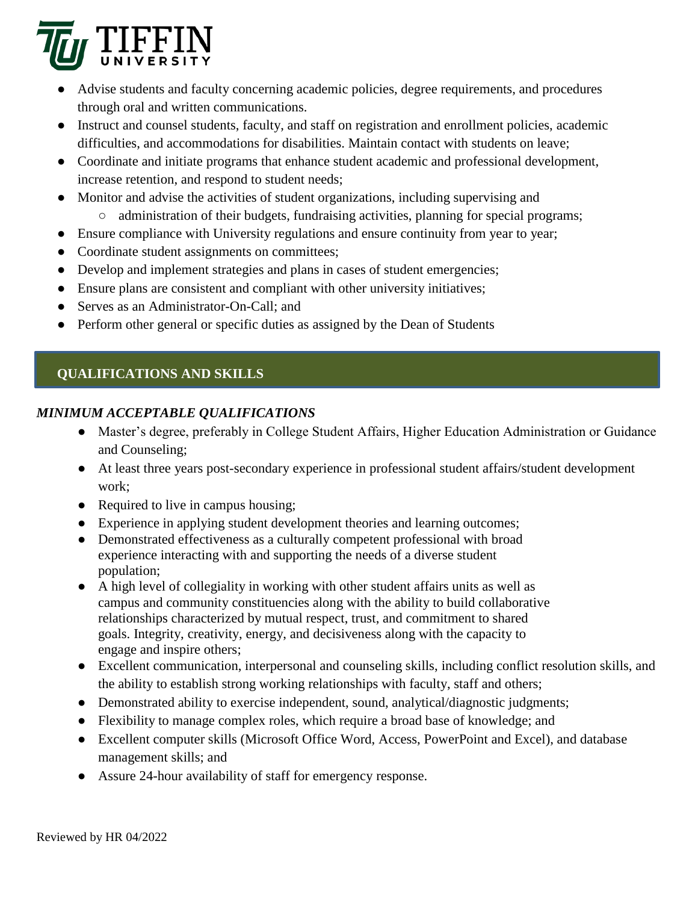

- Advise students and faculty concerning academic policies, degree requirements, and procedures through oral and written communications.
- Instruct and counsel students, faculty, and staff on registration and enrollment policies, academic difficulties, and accommodations for disabilities. Maintain contact with students on leave;
- Coordinate and initiate programs that enhance student academic and professional development, increase retention, and respond to student needs;
- Monitor and advise the activities of student organizations, including supervising and
	- administration of their budgets, fundraising activities, planning for special programs;
- Ensure compliance with University regulations and ensure continuity from year to year;
- Coordinate student assignments on committees;
- Develop and implement strategies and plans in cases of student emergencies;
- Ensure plans are consistent and compliant with other university initiatives;
- Serves as an Administrator-On-Call; and
- Perform other general or specific duties as assigned by the Dean of Students

# **QUALIFICATIONS AND SKILLS**

# *MINIMUM ACCEPTABLE QUALIFICATIONS*

- Master's degree, preferably in College Student Affairs, Higher Education Administration or Guidance and Counseling;
- At least three years post-secondary experience in professional student affairs/student development work;
- Required to live in campus housing;
- Experience in applying student development theories and learning outcomes;
- Demonstrated effectiveness as a culturally competent professional with broad experience interacting with and supporting the needs of a diverse student population;
- A high level of collegiality in working with other student affairs units as well as campus and community constituencies along with the ability to build collaborative relationships characterized by mutual respect, trust, and commitment to shared goals. Integrity, creativity, energy, and decisiveness along with the capacity to engage and inspire others;
- Excellent communication, interpersonal and counseling skills, including conflict resolution skills, and the ability to establish strong working relationships with faculty, staff and others;
- Demonstrated ability to exercise independent, sound, analytical/diagnostic judgments;
- Flexibility to manage complex roles, which require a broad base of knowledge; and
- Excellent computer skills (Microsoft Office Word, Access, PowerPoint and Excel), and database management skills; and
- Assure 24-hour availability of staff for emergency response.